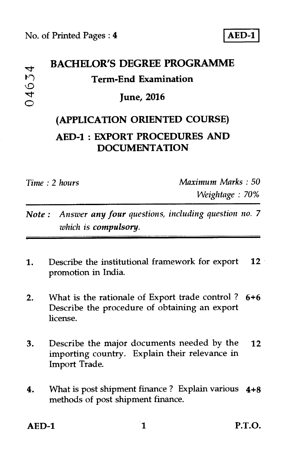# **BACHELOR'S DEGREE PROGRAMME**  04634 **Term-End Examination June, 2016 (APPLICATION ORIENTED COURSE)**

# **AED-1 : EXPORT PROCEDURES AND DOCUMENTATION**

*Time : 2 hours Maximum Marks : 50 Weightage : 70%* 

*Note : Answer any four questions, including question no.* 7 *which is compulsory.* 

- 1. Describe the institutional framework for export 12 promotion in India.
- 2. What is the rationale of Export trade control ? 6+6 Describe the procedure of obtaining an export license.
- 3. Describe the major documents needed by the 12 importing country. Explain their relevance in Import Trade.
- 4. What is post shipment finance ? Explain various **4+8**  methods of post shipment finance.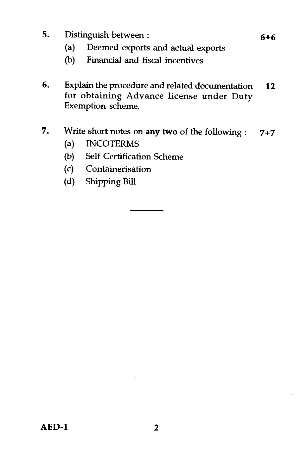- **5.** Distinguish between : **6+6** 
	- (a) Deemed exports and actual exports
	- (b) Financial and fiscal incentives
- **6.** Explain the procedure and related documentation **12**  for obtaining Advance license under Duty Exemption scheme.
- 7. Write short notes on **any two** of the following : 7+7
	- (a) INCOTERMS
	- (b) Self Certification Scheme
	- (c) Containerisation
	- (d) Shipping Bill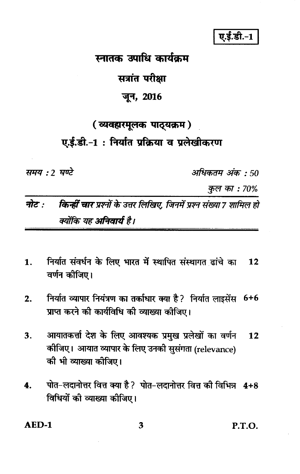ए.ई.डी.- $\overline{1}$ 

## स्नातक उपाधि कार्यक्रम

सत्रांत परीक्षा

### जन, 2016

## (व्यवहारमुलक पाठ्यक्रम)

ए.ई.डी.-1: निर्यात प्रक्रिया व प्रलेखीकरण

समय : ? घण्टे

अधिकतम् अंक : 50

कुल का : 70%

नोट : किन्हीं चार प्रश्नों के उत्तर लिखिए. जिनमें प्रश्न संख्या 7 शामिल हो क्योंकि यह अनिवार्य है।

- निर्यात संवर्धन के लिए भारत में स्थापित संस्थागत ढांचे का  $\mathbf 1$ . 12 वर्णन कीजिए।
- निर्यात व्यापार नियंत्रण का तर्काधार क्या है? निर्यात लाइसेंस 6+6  $2<sub>1</sub>$ प्राप्त करने की कार्यविधि की व्याख्या कीजिए।
- आयातकर्त्ता देश के लिए आवश्यक प्रमुख प्रलेखों का वर्णन 3.  $12$ कीजिए। आयात व्यापार के लिए उनकी सुसंगता (relevance) की भी व्याख्या कीजिए।
- पोत-लदानोत्तर वित्त क्या है? पोत-लदानोत्तर वित्त की विभिन्न 4+8  $\mathbf{4}$ . विधियों की व्याख्या कीजिए।

AED-1

P.T.O.

3